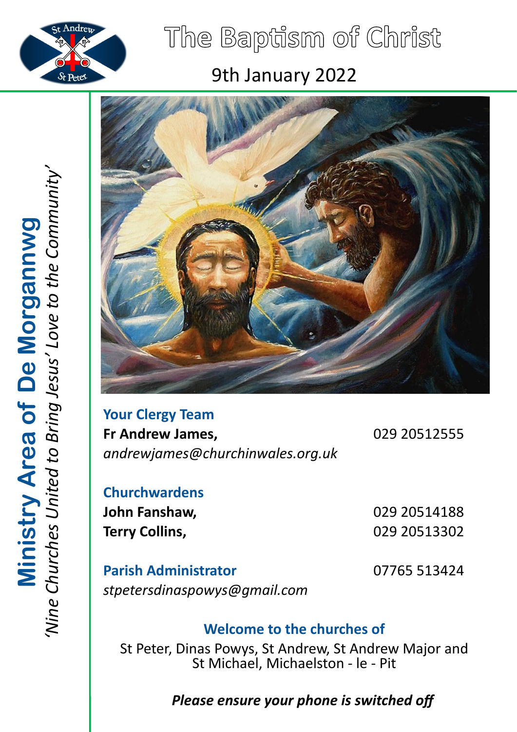

# The Baptism of Christ

## 9th January 2022



**Your Clergy Team Fr Andrew James,** 029 20512555 *andrewjames@churchinwales.org.uk*

**Churchwardens John Fanshaw,** 029 20514188

**Terry Collins,** 029 20513302

**Parish Administrator** 07765 513424 *stpetersdinaspowys@gmail.com*

**Welcome to the churches of** 

St Peter, Dinas Powys, St Andrew, St Andrew Major and St Michael, Michaelston - le - Pit

## *Please ensure your phone is switched off*

*'Nine Churches United to Bring Jesus' Love to the Community'* Ministry Area of De Morgannwg<br>"Nine Churches United to Bring Jesus' Love to the Community **Ministry Area of De Morgannwg**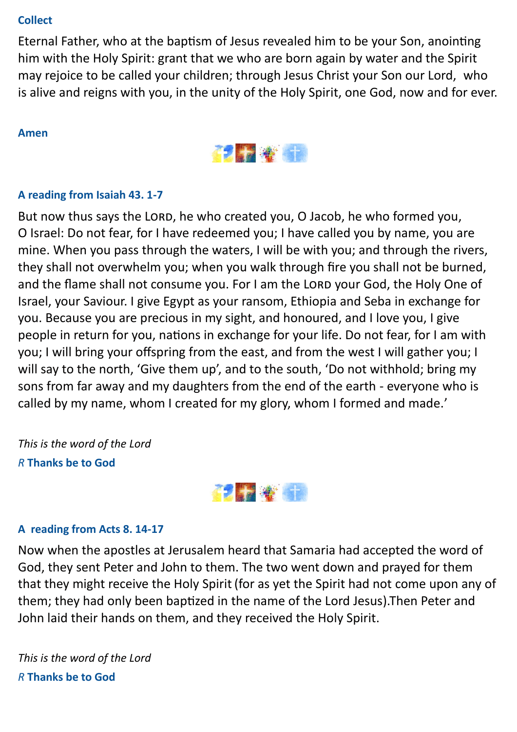#### **Collect**

Eternal Father, who at the baptism of Jesus revealed him to be your Son, anointing him with the Holy Spirit: grant that we who are born again by water and the Spirit may rejoice to be called your children; through Jesus Christ your Son our Lord, who is alive and reigns with you, in the unity of the Holy Spirit, one God, now and for ever.

#### **Amen**



## **A reading from Isaiah 43. 1-7**

But now thus says the LORD, he who created you, O Jacob, he who formed you, O Israel: Do not fear, for I have redeemed you; I have called you by name, you are mine. When you pass through the waters, I will be with you; and through the rivers, they shall not overwhelm you; when you walk through fire you shall not be burned, and the flame shall not consume you. For I am the LORD your God, the Holy One of Israel, your Saviour. I give Egypt as your ransom, Ethiopia and Seba in exchange for you. Because you are precious in my sight, and honoured, and I love you, I give people in return for you, nations in exchange for your life. Do not fear, for I am with you; I will bring your offspring from the east, and from the west I will gather you; I will say to the north, 'Give them up', and to the south, 'Do not withhold; bring my sons from far away and my daughters from the end of the earth - everyone who is called by my name, whom I created for my glory, whom I formed and made.'

*This is the word of the Lord R* **Thanks be to God**



## **A reading from Acts 8. 14-17**

Now when the apostles at Jerusalem heard that Samaria had accepted the word of God, they sent Peter and John to them. The two went down and prayed for them that they might receive the Holy Spirit (for as yet the Spirit had not come upon any of them; they had only been baptized in the name of the Lord Jesus).Then Peter and John laid their hands on them, and they received the Holy Spirit.

*This is the word of the Lord R* **Thanks be to God**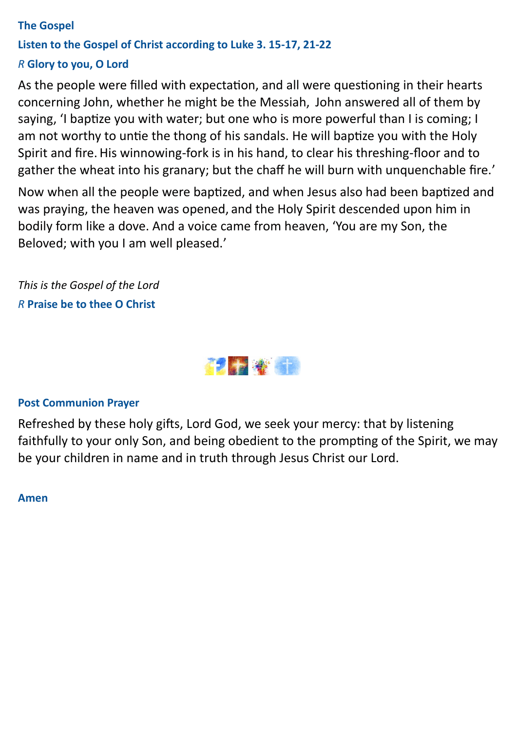## **The Gospel**

## **Listen to the Gospel of Christ according to Luke 3. 15-17, 21-22** *R* **Glory to you, O Lord**

As the people were filled with expectation, and all were questioning in their hearts concerning John, whether he might be the Messiah, John answered all of them by saying, 'I baptize you with water; but one who is more powerful than I is coming; I am not worthy to untie the thong of his sandals. He will baptize you with the Holy Spirit and fire. His winnowing-fork is in his hand, to clear his threshing-floor and to gather the wheat into his granary; but the chaff he will burn with unquenchable fire.'

Now when all the people were baptized, and when Jesus also had been baptized and was praying, the heaven was opened, and the Holy Spirit descended upon him in bodily form like a dove. And a voice came from heaven, 'You are my Son, the Beloved; with you I am well pleased.'

*This is the Gospel of the Lord R* **Praise be to thee O Christ**



#### **Post Communion Prayer**

Refreshed by these holy gifts, Lord God, we seek your mercy: that by listening faithfully to your only Son, and being obedient to the prompting of the Spirit, we may be your children in name and in truth through Jesus Christ our Lord.

**Amen**